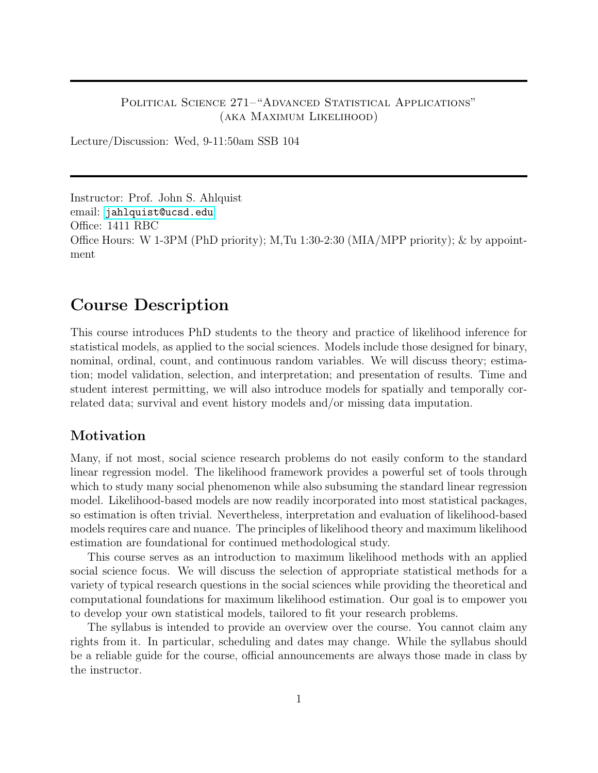### POLITICAL SCIENCE 271–"ADVANCED STATISTICAL APPLICATIONS" (aka Maximum Likelihood)

Lecture/Discussion: Wed, 9-11:50am SSB 104

Instructor: Prof. John S. Ahlquist email: <jahlquist@ucsd.edu> Office: 1411 RBC Office Hours: W 1-3PM (PhD priority); M,Tu 1:30-2:30 (MIA/MPP priority); & by appointment

## Course Description

This course introduces PhD students to the theory and practice of likelihood inference for statistical models, as applied to the social sciences. Models include those designed for binary, nominal, ordinal, count, and continuous random variables. We will discuss theory; estimation; model validation, selection, and interpretation; and presentation of results. Time and student interest permitting, we will also introduce models for spatially and temporally correlated data; survival and event history models and/or missing data imputation.

### Motivation

Many, if not most, social science research problems do not easily conform to the standard linear regression model. The likelihood framework provides a powerful set of tools through which to study many social phenomenon while also subsuming the standard linear regression model. Likelihood-based models are now readily incorporated into most statistical packages, so estimation is often trivial. Nevertheless, interpretation and evaluation of likelihood-based models requires care and nuance. The principles of likelihood theory and maximum likelihood estimation are foundational for continued methodological study.

This course serves as an introduction to maximum likelihood methods with an applied social science focus. We will discuss the selection of appropriate statistical methods for a variety of typical research questions in the social sciences while providing the theoretical and computational foundations for maximum likelihood estimation. Our goal is to empower you to develop your own statistical models, tailored to fit your research problems.

The syllabus is intended to provide an overview over the course. You cannot claim any rights from it. In particular, scheduling and dates may change. While the syllabus should be a reliable guide for the course, official announcements are always those made in class by the instructor.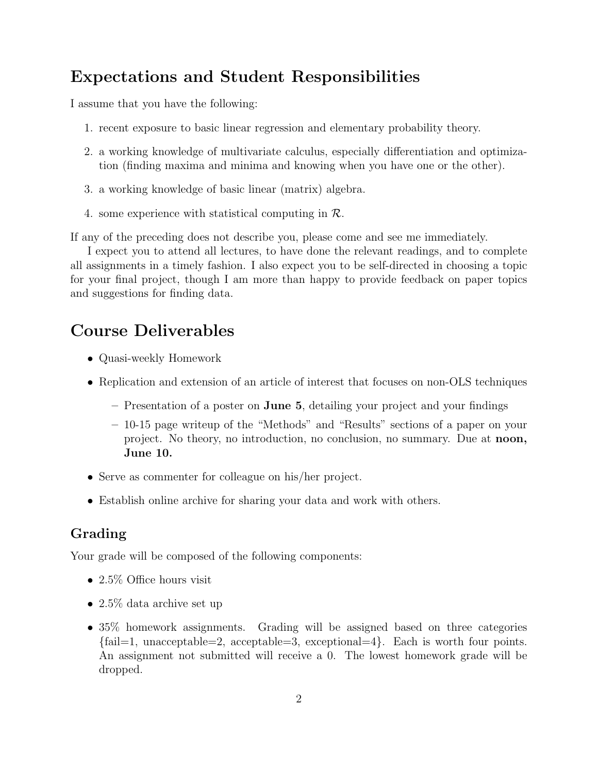# Expectations and Student Responsibilities

I assume that you have the following:

- 1. recent exposure to basic linear regression and elementary probability theory.
- 2. a working knowledge of multivariate calculus, especially differentiation and optimization (finding maxima and minima and knowing when you have one or the other).
- 3. a working knowledge of basic linear (matrix) algebra.
- 4. some experience with statistical computing in  $\mathcal{R}$ .

If any of the preceding does not describe you, please come and see me immediately.

I expect you to attend all lectures, to have done the relevant readings, and to complete all assignments in a timely fashion. I also expect you to be self-directed in choosing a topic for your final project, though I am more than happy to provide feedback on paper topics and suggestions for finding data.

# Course Deliverables

- Quasi-weekly Homework
- Replication and extension of an article of interest that focuses on non-OLS techniques
	- Presentation of a poster on June 5, detailing your project and your findings
	- 10-15 page writeup of the "Methods" and "Results" sections of a paper on your project. No theory, no introduction, no conclusion, no summary. Due at noon, June 10.
- Serve as commenter for colleague on his/her project.
- Establish online archive for sharing your data and work with others.

## Grading

Your grade will be composed of the following components:

- 2.5% Office hours visit
- 2.5% data archive set up
- 35% homework assignments. Grading will be assigned based on three categories  ${\text{fail=1, unacceptable=2, acceptable=3, exceptional=4}}.$  Each is worth four points. An assignment not submitted will receive a 0. The lowest homework grade will be dropped.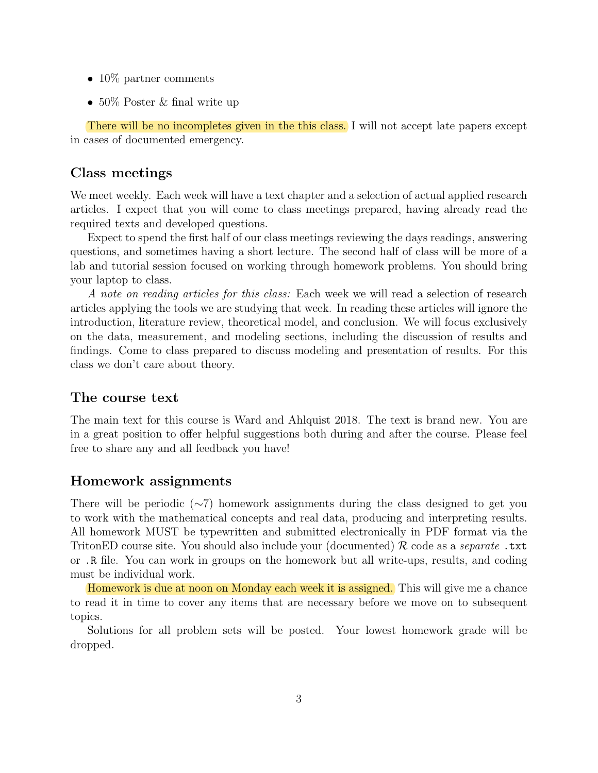- 10\% partner comments
- 50% Poster & final write up

There will be no incompletes given in the this class. I will not accept late papers except in cases of documented emergency.

### Class meetings

We meet weekly. Each week will have a text chapter and a selection of actual applied research articles. I expect that you will come to class meetings prepared, having already read the required texts and developed questions.

Expect to spend the first half of our class meetings reviewing the days readings, answering questions, and sometimes having a short lecture. The second half of class will be more of a lab and tutorial session focused on working through homework problems. You should bring your laptop to class.

A note on reading articles for this class: Each week we will read a selection of research articles applying the tools we are studying that week. In reading these articles will ignore the introduction, literature review, theoretical model, and conclusion. We will focus exclusively on the data, measurement, and modeling sections, including the discussion of results and findings. Come to class prepared to discuss modeling and presentation of results. For this class we don't care about theory.

### The course text

The main text for this course is Ward and Ahlquist 2018. The text is brand new. You are in a great position to offer helpful suggestions both during and after the course. Please feel free to share any and all feedback you have!

### Homework assignments

There will be periodic ( $\sim$ 7) homework assignments during the class designed to get you to work with the mathematical concepts and real data, producing and interpreting results. All homework MUST be typewritten and submitted electronically in PDF format via the TritonED course site. You should also include your (documented)  $\mathcal R$  code as a *separate* .txt or .R file. You can work in groups on the homework but all write-ups, results, and coding must be individual work.

Homework is due at noon on Monday each week it is assigned. This will give me a chance to read it in time to cover any items that are necessary before we move on to subsequent topics.

Solutions for all problem sets will be posted. Your lowest homework grade will be dropped.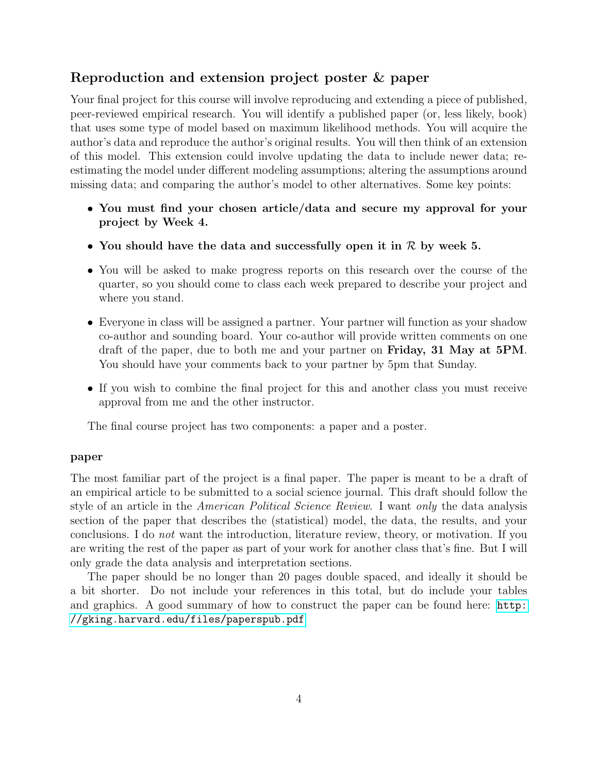## Reproduction and extension project poster & paper

Your final project for this course will involve reproducing and extending a piece of published, peer-reviewed empirical research. You will identify a published paper (or, less likely, book) that uses some type of model based on maximum likelihood methods. You will acquire the author's data and reproduce the author's original results. You will then think of an extension of this model. This extension could involve updating the data to include newer data; reestimating the model under different modeling assumptions; altering the assumptions around missing data; and comparing the author's model to other alternatives. Some key points:

- You must find your chosen article/data and secure my approval for your project by Week 4.
- You should have the data and successfully open it in  $\mathcal R$  by week 5.
- You will be asked to make progress reports on this research over the course of the quarter, so you should come to class each week prepared to describe your project and where you stand.
- Everyone in class will be assigned a partner. Your partner will function as your shadow co-author and sounding board. Your co-author will provide written comments on one draft of the paper, due to both me and your partner on Friday, 31 May at 5PM. You should have your comments back to your partner by 5pm that Sunday.
- If you wish to combine the final project for this and another class you must receive approval from me and the other instructor.

The final course project has two components: a paper and a poster.

#### paper

The most familiar part of the project is a final paper. The paper is meant to be a draft of an empirical article to be submitted to a social science journal. This draft should follow the style of an article in the American Political Science Review. I want only the data analysis section of the paper that describes the (statistical) model, the data, the results, and your conclusions. I do not want the introduction, literature review, theory, or motivation. If you are writing the rest of the paper as part of your work for another class that's fine. But I will only grade the data analysis and interpretation sections.

The paper should be no longer than 20 pages double spaced, and ideally it should be a bit shorter. Do not include your references in this total, but do include your tables and graphics. A good summary of how to construct the paper can be found here: [http:](http://gking.harvard.edu/files/paperspub.pdf) [//gking.harvard.edu/files/paperspub.pdf](http://gking.harvard.edu/files/paperspub.pdf)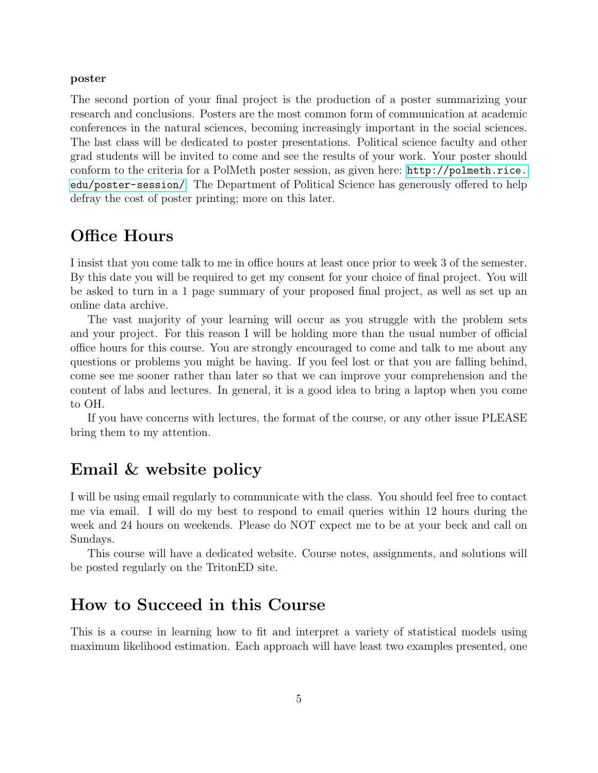#### poster

The second portion of your final project is the production of a poster summarizing your research and conclusions. Posters are the most common form of communication at academic conferences in the natural sciences, becoming increasingly important in the social sciences. The last class will be dedicated to poster presentations. Political science faculty and other grad students will be invited to come and see the results of your work. Your poster should conform to the criteria for a PolMeth poster session, as given here: [http://polmeth.rice.](http://polmeth.rice.edu/poster-session/) [edu/poster-session/](http://polmeth.rice.edu/poster-session/). The Department of Political Science has generously offered to help defray the cost of poster printing; more on this later.

## Office Hours

I insist that you come talk to me in office hours at least once prior to week 3 of the semester. By this date you will be required to get my consent for your choice of final project. You will be asked to turn in a 1 page summary of your proposed final project, as well as set up an online data archive.

The vast majority of your learning will occur as you struggle with the problem sets and your project. For this reason I will be holding more than the usual number of official office hours for this course. You are strongly encouraged to come and talk to me about any questions or problems you might be having. If you feel lost or that you are falling behind, come see me sooner rather than later so that we can improve your comprehension and the content of labs and lectures. In general, it is a good idea to bring a laptop when you come to OH.

If you have concerns with lectures, the format of the course, or any other issue PLEASE bring them to my attention.

## Email & website policy

I will be using email regularly to communicate with the class. You should feel free to contact me via email. I will do my best to respond to email queries within 12 hours during the week and 24 hours on weekends. Please do NOT expect me to be at your beck and call on Sundays.

This course will have a dedicated website. Course notes, assignments, and solutions will be posted regularly on the TritonED site.

# How to Succeed in this Course

This is a course in learning how to fit and interpret a variety of statistical models using maximum likelihood estimation. Each approach will have least two examples presented, one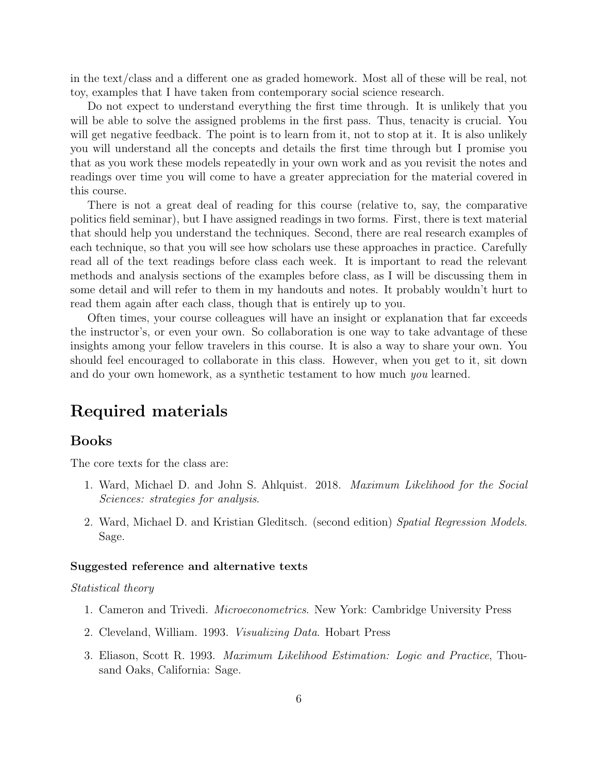in the text/class and a different one as graded homework. Most all of these will be real, not toy, examples that I have taken from contemporary social science research.

Do not expect to understand everything the first time through. It is unlikely that you will be able to solve the assigned problems in the first pass. Thus, tenacity is crucial. You will get negative feedback. The point is to learn from it, not to stop at it. It is also unlikely you will understand all the concepts and details the first time through but I promise you that as you work these models repeatedly in your own work and as you revisit the notes and readings over time you will come to have a greater appreciation for the material covered in this course.

There is not a great deal of reading for this course (relative to, say, the comparative politics field seminar), but I have assigned readings in two forms. First, there is text material that should help you understand the techniques. Second, there are real research examples of each technique, so that you will see how scholars use these approaches in practice. Carefully read all of the text readings before class each week. It is important to read the relevant methods and analysis sections of the examples before class, as I will be discussing them in some detail and will refer to them in my handouts and notes. It probably wouldn't hurt to read them again after each class, though that is entirely up to you.

Often times, your course colleagues will have an insight or explanation that far exceeds the instructor's, or even your own. So collaboration is one way to take advantage of these insights among your fellow travelers in this course. It is also a way to share your own. You should feel encouraged to collaborate in this class. However, when you get to it, sit down and do your own homework, as a synthetic testament to how much you learned.

## Required materials

### Books

The core texts for the class are:

- 1. Ward, Michael D. and John S. Ahlquist. 2018. Maximum Likelihood for the Social Sciences: strategies for analysis.
- 2. Ward, Michael D. and Kristian Gleditsch. (second edition) Spatial Regression Models. Sage.

#### Suggested reference and alternative texts

#### Statistical theory

- 1. Cameron and Trivedi. Microeconometrics. New York: Cambridge University Press
- 2. Cleveland, William. 1993. Visualizing Data. Hobart Press
- 3. Eliason, Scott R. 1993. Maximum Likelihood Estimation: Logic and Practice, Thousand Oaks, California: Sage.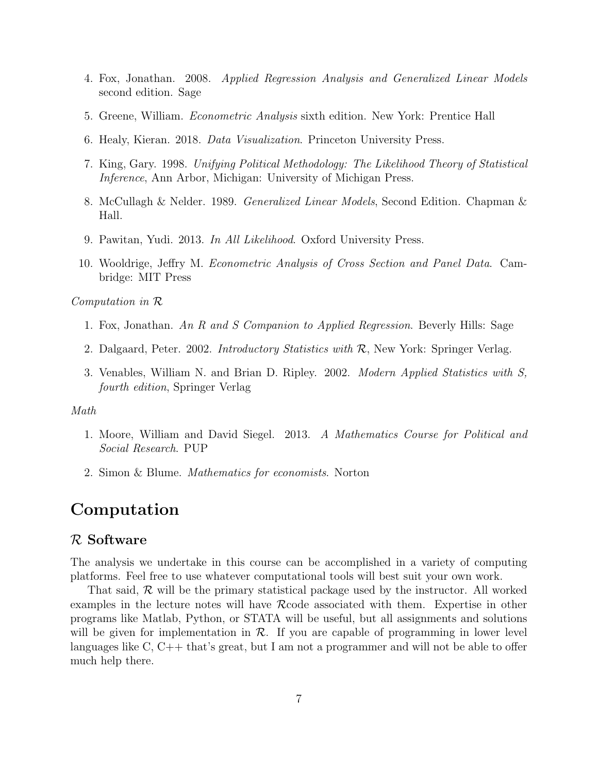- 4. Fox, Jonathan. 2008. Applied Regression Analysis and Generalized Linear Models second edition. Sage
- 5. Greene, William. Econometric Analysis sixth edition. New York: Prentice Hall
- 6. Healy, Kieran. 2018. Data Visualization. Princeton University Press.
- 7. King, Gary. 1998. Unifying Political Methodology: The Likelihood Theory of Statistical Inference, Ann Arbor, Michigan: University of Michigan Press.
- 8. McCullagh & Nelder. 1989. Generalized Linear Models, Second Edition. Chapman & Hall.
- 9. Pawitan, Yudi. 2013. In All Likelihood. Oxford University Press.
- 10. Wooldrige, Jeffry M. Econometric Analysis of Cross Section and Panel Data. Cambridge: MIT Press

Computation in R

- 1. Fox, Jonathan. An R and S Companion to Applied Regression. Beverly Hills: Sage
- 2. Dalgaard, Peter. 2002. Introductory Statistics with R, New York: Springer Verlag.
- 3. Venables, William N. and Brian D. Ripley. 2002. Modern Applied Statistics with S, fourth edition, Springer Verlag

Math

- 1. Moore, William and David Siegel. 2013. A Mathematics Course for Political and Social Research. PUP
- 2. Simon & Blume. Mathematics for economists. Norton

## Computation

#### R Software

The analysis we undertake in this course can be accomplished in a variety of computing platforms. Feel free to use whatever computational tools will best suit your own work.

That said,  $\mathcal R$  will be the primary statistical package used by the instructor. All worked examples in the lecture notes will have Rcode associated with them. Expertise in other programs like Matlab, Python, or STATA will be useful, but all assignments and solutions will be given for implementation in  $\mathcal{R}$ . If you are capable of programming in lower level languages like C, C++ that's great, but I am not a programmer and will not be able to offer much help there.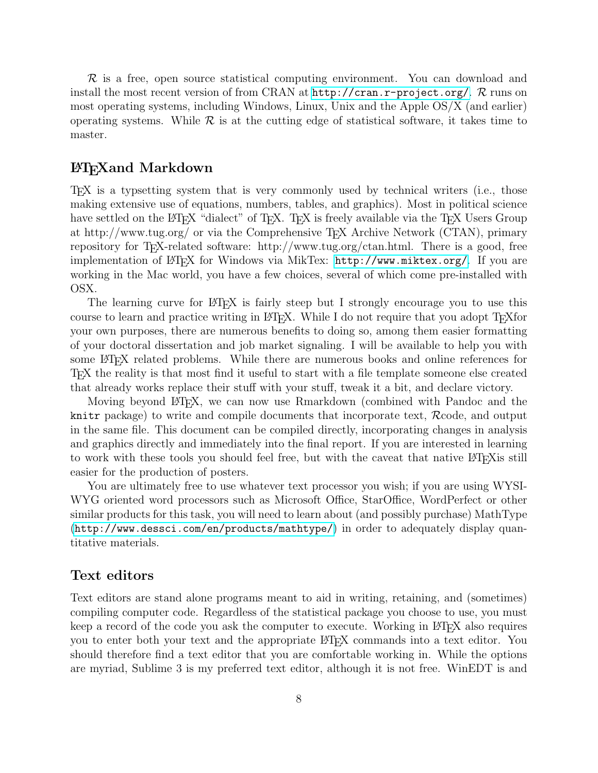$\mathcal R$  is a free, open source statistical computing environment. You can download and install the most recent version of from CRAN at  $http://cran.r-project.org/$ .  $\mathcal{R}$  runs on most operating systems, including Windows, Linux, Unix and the Apple OS/X (and earlier) operating systems. While  $\mathcal R$  is at the cutting edge of statistical software, it takes time to master.

### LATEXand Markdown

TEX is a typsetting system that is very commonly used by technical writers (i.e., those making extensive use of equations, numbers, tables, and graphics). Most in political science have settled on the LATEX "dialect" of TEX. TEX is freely available via the TEX Users Group at http://www.tug.org/ or via the Comprehensive TEX Archive Network (CTAN), primary repository for T<sub>E</sub>X-related software: http://www.tug.org/ctan.html. There is a good, free implementation of LATEX for Windows via MikTex: <http://www.miktex.org/>. If you are working in the Mac world, you have a few choices, several of which come pre-installed with OSX.

The learning curve for LATEX is fairly steep but I strongly encourage you to use this course to learn and practice writing in LATEX. While I do not require that you adopt TEXfor your own purposes, there are numerous benefits to doing so, among them easier formatting of your doctoral dissertation and job market signaling. I will be available to help you with some LAT<sub>EX</sub> related problems. While there are numerous books and online references for TEX the reality is that most find it useful to start with a file template someone else created that already works replace their stuff with your stuff, tweak it a bit, and declare victory.

Moving beyond LATEX, we can now use Rmarkdown (combined with Pandoc and the knitr package) to write and compile documents that incorporate text, Rcode, and output in the same file. This document can be compiled directly, incorporating changes in analysis and graphics directly and immediately into the final report. If you are interested in learning to work with these tools you should feel free, but with the caveat that native LATEX is still easier for the production of posters.

You are ultimately free to use whatever text processor you wish; if you are using WYSI-WYG oriented word processors such as Microsoft Office, StarOffice, WordPerfect or other similar products for this task, you will need to learn about (and possibly purchase) MathType (<http://www.dessci.com/en/products/mathtype/>) in order to adequately display quantitative materials.

#### Text editors

Text editors are stand alone programs meant to aid in writing, retaining, and (sometimes) compiling computer code. Regardless of the statistical package you choose to use, you must keep a record of the code you ask the computer to execute. Working in LAT<sub>EX</sub> also requires you to enter both your text and the appropriate LATEX commands into a text editor. You should therefore find a text editor that you are comfortable working in. While the options are myriad, Sublime 3 is my preferred text editor, although it is not free. WinEDT is and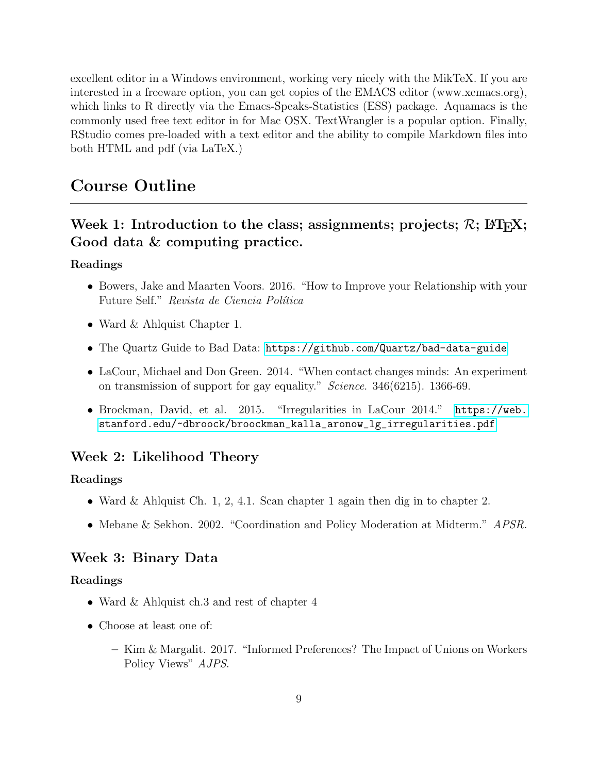excellent editor in a Windows environment, working very nicely with the MikTeX. If you are interested in a freeware option, you can get copies of the EMACS editor (www.xemacs.org), which links to R directly via the Emacs-Speaks-Statistics (ESS) package. Aquamacs is the commonly used free text editor in for Mac OSX. TextWrangler is a popular option. Finally, RStudio comes pre-loaded with a text editor and the ability to compile Markdown files into both HTML and pdf (via LaTeX.)

## Course Outline

## Week 1: Introduction to the class; assignments; projects;  $R$ ;  $\mathbb{F}$ F<sub>F</sub>X; Good data & computing practice.

#### Readings

- Bowers, Jake and Maarten Voors. 2016. "How to Improve your Relationship with your Future Self." Revista de Ciencia Política
- Ward & Ahlquist Chapter 1.
- The Quartz Guide to Bad Data: <https://github.com/Quartz/bad-data-guide>
- LaCour, Michael and Don Green. 2014. "When contact changes minds: An experiment on transmission of support for gay equality." Science. 346(6215). 1366-69.
- Brockman, David, et al. 2015. "Irregularities in LaCour 2014." [https://web.](https://web.stanford.edu/~dbroock/broockman_kalla_aronow_lg_irregularities.pdf) [stanford.edu/~dbroock/broockman\\_kalla\\_aronow\\_lg\\_irregularities.pdf](https://web.stanford.edu/~dbroock/broockman_kalla_aronow_lg_irregularities.pdf)

### Week 2: Likelihood Theory

#### Readings

- Ward & Ahlquist Ch. 1, 2, 4.1. Scan chapter 1 again then dig in to chapter 2.
- Mebane & Sekhon. 2002. "Coordination and Policy Moderation at Midterm." *APSR.*

### Week 3: Binary Data

#### Readings

- Ward & Ahlquist ch.3 and rest of chapter 4
- Choose at least one of:
	- Kim & Margalit. 2017. "Informed Preferences? The Impact of Unions on Workers Policy Views" AJPS.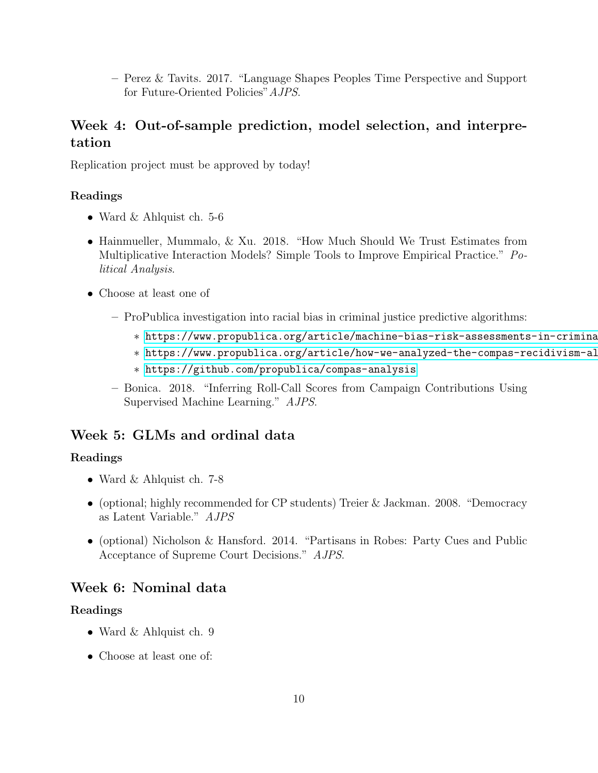– Perez & Tavits. 2017. "Language Shapes Peoples Time Perspective and Support for Future-Oriented Policies"AJPS.

## Week 4: Out-of-sample prediction, model selection, and interpretation

Replication project must be approved by today!

#### Readings

- Ward & Ahlquist ch. 5-6
- Hainmueller, Mummalo, & Xu. 2018. "How Much Should We Trust Estimates from Multiplicative Interaction Models? Simple Tools to Improve Empirical Practice." Political Analysis.
- Choose at least one of
	- ProPublica investigation into racial bias in criminal justice predictive algorithms:
		- ∗ <https://www.propublica.org/article/machine-bias-risk-assessments-in-criminal-sentencing>
		- ∗ <https://www.propublica.org/article/how-we-analyzed-the-compas-recidivism-algorithm>
		- ∗ <https://github.com/propublica/compas-analysis>
	- Bonica. 2018. "Inferring Roll-Call Scores from Campaign Contributions Using Supervised Machine Learning." AJPS.

### Week 5: GLMs and ordinal data

#### Readings

- Ward & Ahlquist ch. 7-8
- (optional; highly recommended for CP students) Treier & Jackman. 2008. "Democracy as Latent Variable." AJPS
- (optional) Nicholson & Hansford. 2014. "Partisans in Robes: Party Cues and Public Acceptance of Supreme Court Decisions." AJPS.

### Week 6: Nominal data

#### Readings

- Ward & Ahlquist ch. 9
- Choose at least one of: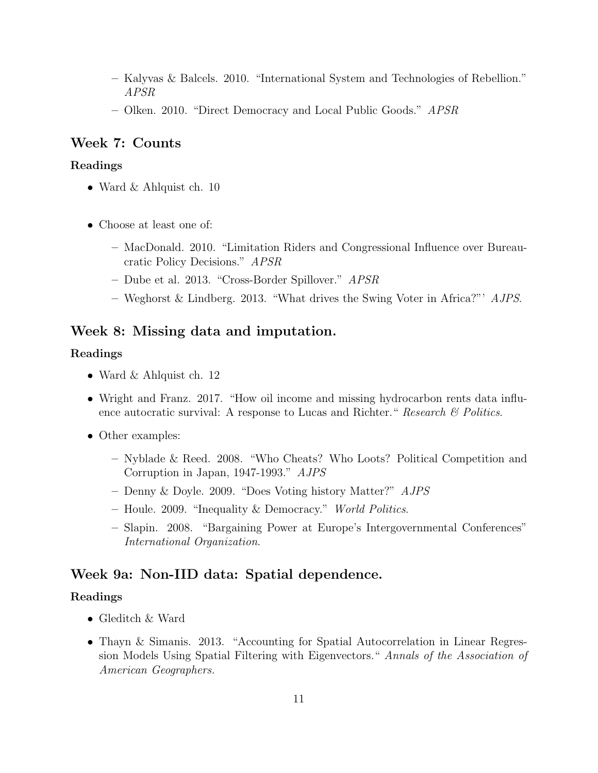- Kalyvas & Balcels. 2010. "International System and Technologies of Rebellion." APSR
- Olken. 2010. "Direct Democracy and Local Public Goods." APSR

### Week 7: Counts

#### Readings

- Ward & Ahlquist ch. 10
- Choose at least one of:
	- MacDonald. 2010. "Limitation Riders and Congressional Influence over Bureaucratic Policy Decisions." APSR
	- Dube et al. 2013. "Cross-Border Spillover." APSR
	- Weghorst & Lindberg. 2013. "What drives the Swing Voter in Africa?"' AJPS.

### Week 8: Missing data and imputation.

#### Readings

- Ward & Ahlquist ch. 12
- Wright and Franz. 2017. "How oil income and missing hydrocarbon rents data influence autocratic survival: A response to Lucas and Richter." Research  $\mathcal B$  Politics.
- Other examples:
	- Nyblade & Reed. 2008. "Who Cheats? Who Loots? Political Competition and Corruption in Japan, 1947-1993." AJPS
	- Denny & Doyle. 2009. "Does Voting history Matter?" AJPS
	- Houle. 2009. "Inequality & Democracy." World Politics.
	- Slapin. 2008. "Bargaining Power at Europe's Intergovernmental Conferences" International Organization.

### Week 9a: Non-IID data: Spatial dependence.

#### Readings

- Gleditch & Ward
- Thayn & Simanis. 2013. "Accounting for Spatial Autocorrelation in Linear Regression Models Using Spatial Filtering with Eigenvectors." Annals of the Association of American Geographers.